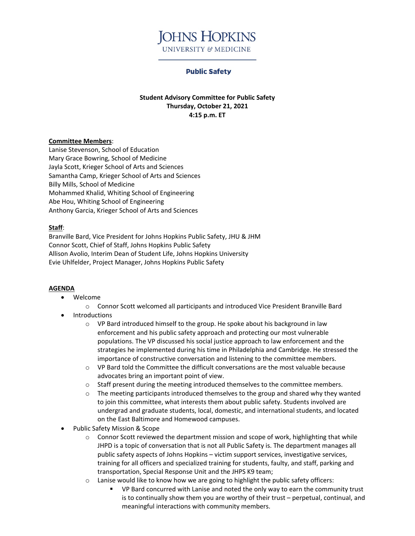

## **Public Safety**

**Student Advisory Committee for Public Safety Thursday, October 21, 2021 4:15 p.m. ET**

## **Committee Members**:

Lanise Stevenson, School of Education Mary Grace Bowring, School of Medicine Jayla Scott, Krieger School of Arts and Sciences Samantha Camp, Krieger School of Arts and Sciences Billy Mills, School of Medicine Mohammed Khalid, Whiting School of Engineering Abe Hou, Whiting School of Engineering Anthony Garcia, Krieger School of Arts and Sciences

## **Staff**:

Branville Bard, Vice President for Johns Hopkins Public Safety, JHU & JHM Connor Scott, Chief of Staff, Johns Hopkins Public Safety Allison Avolio, Interim Dean of Student Life, Johns Hopkins University Evie Uhlfelder, Project Manager, Johns Hopkins Public Safety

## **AGENDA**

- Welcome
	- o Connor Scott welcomed all participants and introduced Vice President Branville Bard
- Introductions
	- o VP Bard introduced himself to the group. He spoke about his background in law enforcement and his public safety approach and protecting our most vulnerable populations. The VP discussed his social justice approach to law enforcement and the strategies he implemented during his time in Philadelphia and Cambridge. He stressed the importance of constructive conversation and listening to the committee members.
	- o VP Bard told the Committee the difficult conversations are the most valuable because advocates bring an important point of view.
	- $\circ$  Staff present during the meeting introduced themselves to the committee members.
	- $\circ$  The meeting participants introduced themselves to the group and shared why they wanted to join this committee, what interests them about public safety. Students involved are undergrad and graduate students, local, domestic, and international students, and located on the East Baltimore and Homewood campuses.
- Public Safety Mission & Scope
	- $\circ$  Connor Scott reviewed the department mission and scope of work, highlighting that while JHPD is a topic of conversation that is not all Public Safety is. The department manages all public safety aspects of Johns Hopkins – victim support services, investigative services, training for all officers and specialized training for students, faulty, and staff, parking and transportation, Special Response Unit and the JHPS K9 team;
	- o Lanise would like to know how we are going to highlight the public safety officers:
		- VP Bard concurred with Lanise and noted the only way to earn the community trust is to continually show them you are worthy of their trust – perpetual, continual, and meaningful interactions with community members.